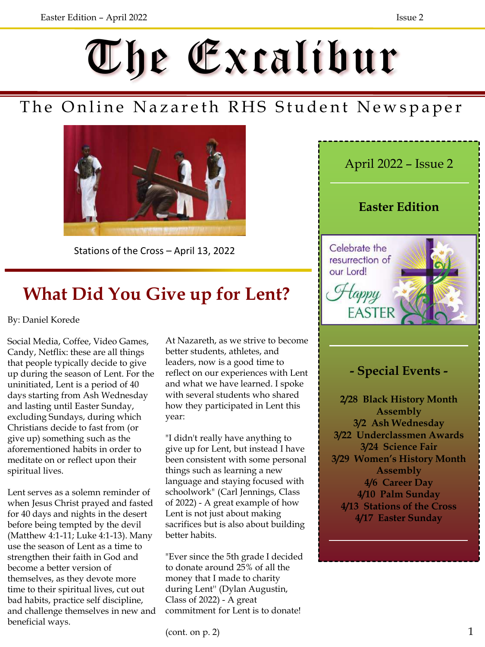April 2022 – Issue 2

**Easter Edition**

# The Excalibur

# The Online Nazareth RHS Student Newspaper



Stations of the Cross – April 13, 2022



By: Daniel Korede

Social Media, Coffee, Video Games, Candy, Netflix: these are all things that people typically decide to give up during the season of Lent. For the uninitiated, Lent is a period of 40 days starting from Ash Wednesday and lasting until Easter Sunday, excluding Sundays, during which Christians decide to fast from (or give up) something such as the aforementioned habits in order to meditate on or reflect upon their spiritual lives.

Lent serves as a solemn reminder of when Jesus Christ prayed and fasted for 40 days and nights in the desert before being tempted by the devil (Matthew 4:1-11; Luke 4:1-13). Many use the season of Lent as a time to strengthen their faith in God and become a better version of themselves, as they devote more time to their spiritual lives, cut out bad habits, practice self discipline, and challenge themselves in new and beneficial ways.

At Nazareth, as we strive to become better students, athletes, and leaders, now is a good time to reflect on our experiences with Lent and what we have learned. I spoke with several students who shared how they participated in Lent this year:

"I didn't really have anything to give up for Lent, but instead I have been consistent with some personal things such as learning a new language and staying focused with schoolwork" (Carl Jennings, Class of 2022) - A great example of how Lent is not just about making sacrifices but is also about building better habits.

"Ever since the 5th grade I decided to donate around 25% of all the money that I made to charity during Lent'' (Dylan Augustin, Class of 2022) - A great commitment for Lent is to donate!



Celebrate the resurrection of

**2/28 Black History Month Assembly 3/2 Ash Wednesday 3/22 Underclassmen Awards 3/24 Science Fair 3/29 Women's History Month Assembly 4/6 Career Day 4/10 Palm Sunday 4/13 Stations of the Cross**

**4/17 Easter Sunday**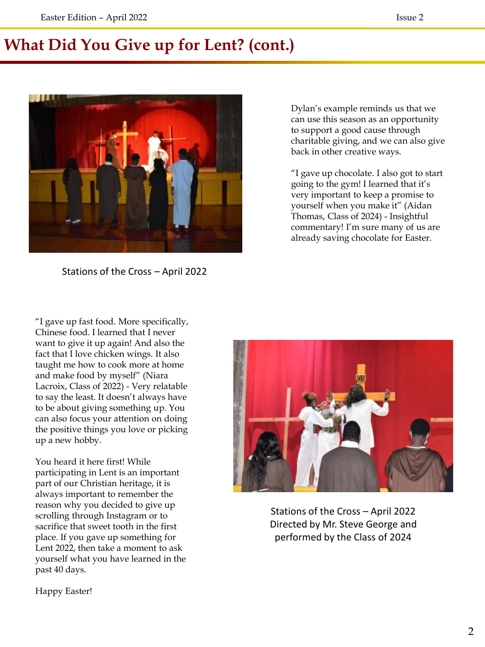## **What Did You Give up for Lent? (cont.)**



Stations of the Cross – April 2022

Dylan's example reminds us that we can use this season as an opportunity to support a good cause through charitable giving, and we can also give back in other creative ways.

"I gave up chocolate. I also got to start going to the gym! I learned that it's very important to keep a promise to yourself when you make it" (Aidan Thomas, Class of 2024) - Insightful commentary! I'm sure many of us are already saving chocolate for Easter.

"I gave up fast food. More specifically, Chinese food. I learned that I never want to give it up again! And also the fact that I love chicken wings. It also taught me how to cook more at home and make food by myself" (Niara Lacroix, Class of 2022) - Very relatable to say the least. It doesn't always have to be about giving something up. You can also focus your attention on doing the positive things you love or picking up a new hobby.

You heard it here first! While participating in Lent is an important part of our Christian heritage, it is always important to remember the reason why you decided to give up scrolling through Instagram or to sacrifice that sweet tooth in the first place. If you gave up something for Lent 2022, then take a moment to ask yourself what you have learned in the past 40 days.

Stations of the Cross – April 2022 Directed by Mr. Steve George and performed by the Class of 2024

Happy Easter!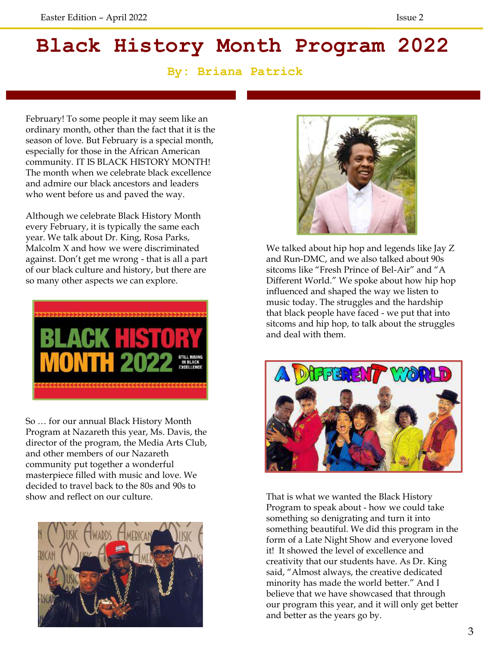# **Black History Month Program 2022**

### **By: Briana Patrick**

February! To some people it may seem like an ordinary month, other than the fact that it is the season of love. But February is a special month, especially for those in the African American community. IT IS BLACK HISTORY MONTH! The month when we celebrate black excellence and admire our black ancestors and leaders who went before us and paved the way.

Although we celebrate Black History Month every February, it is typically the same each year. We talk about Dr. King, Rosa Parks, Malcolm X and how we were discriminated against. Don't get me wrong - that is all a part of our black culture and history, but there are so many other aspects we can explore.



So … for our annual Black History Month Program at Nazareth this year, Ms. Davis, the director of the program, the Media Arts Club, and other members of our Nazareth community put together a wonderful masterpiece filled with music and love. We decided to travel back to the 80s and 90s to show and reflect on our culture.





We talked about hip hop and legends like Jay Z and Run-DMC, and we also talked about 90s sitcoms like "Fresh Prince of Bel-Air" and "A Different World." We spoke about how hip hop influenced and shaped the way we listen to music today. The struggles and the hardship that black people have faced - we put that into sitcoms and hip hop, to talk about the struggles and deal with them.



That is what we wanted the Black History Program to speak about - how we could take something so denigrating and turn it into something beautiful. We did this program in the form of a Late Night Show and everyone loved it! It showed the level of excellence and creativity that our students have. As Dr. King said, "Almost always, the creative dedicated minority has made the world better." And I believe that we have showcased that through our program this year, and it will only get better and better as the years go by.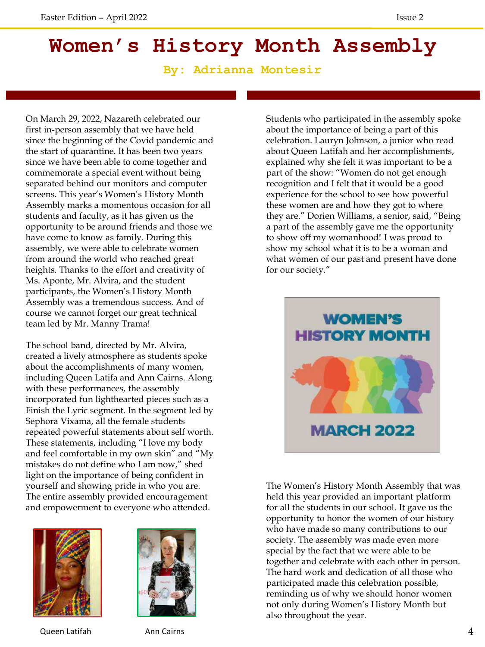**By: Adrianna Montesir**

On March 29, 2022, Nazareth celebrated our first in-person assembly that we have held since the beginning of the Covid pandemic and the start of quarantine. It has been two years since we have been able to come together and commemorate a special event without being separated behind our monitors and computer screens. This year's Women's History Month Assembly marks a momentous occasion for all students and faculty, as it has given us the opportunity to be around friends and those we have come to know as family. During this assembly, we were able to celebrate women from around the world who reached great heights. Thanks to the effort and creativity of Ms. Aponte, Mr. Alvira, and the student participants, the Women's History Month Assembly was a tremendous success. And of course we cannot forget our great technical team led by Mr. Manny Trama!

The school band, directed by Mr. Alvira, created a lively atmosphere as students spoke about the accomplishments of many women, including Queen Latifa and Ann Cairns. Along with these performances, the assembly incorporated fun lighthearted pieces such as a Finish the Lyric segment. In the segment led by Sephora Vixama, all the female students repeated powerful statements about self worth. These statements, including "I love my body and feel comfortable in my own skin" and "My mistakes do not define who I am now," shed light on the importance of being confident in yourself and showing pride in who you are. The entire assembly provided encouragement and empowerment to everyone who attended.



Queen Latifah Mann Cairns



Students who participated in the assembly spoke about the importance of being a part of this celebration. Lauryn Johnson, a junior who read about Queen Latifah and her accomplishments, explained why she felt it was important to be a part of the show: "Women do not get enough recognition and I felt that it would be a good experience for the school to see how powerful these women are and how they got to where they are." Dorien Williams, a senior, said, "Being a part of the assembly gave me the opportunity to show off my womanhood! I was proud to show my school what it is to be a woman and what women of our past and present have done for our society."



The Women's History Month Assembly that was held this year provided an important platform for all the students in our school. It gave us the opportunity to honor the women of our history who have made so many contributions to our society. The assembly was made even more special by the fact that we were able to be together and celebrate with each other in person. The hard work and dedication of all those who participated made this celebration possible, reminding us of why we should honor women not only during Women's History Month but also throughout the year.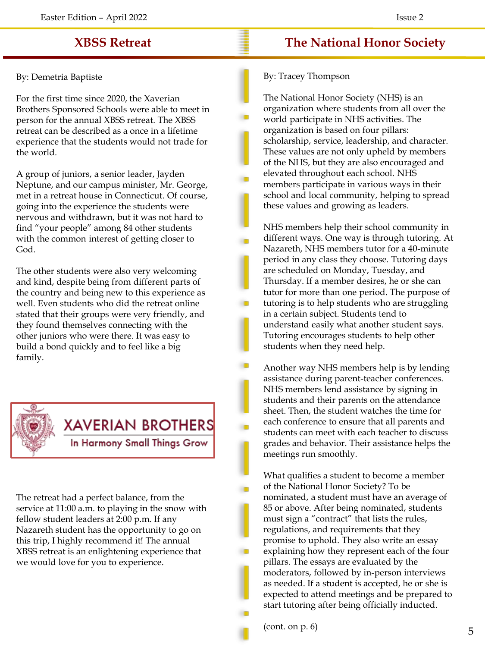## **XBSS Retreat**

#### By: Demetria Baptiste

For the first time since 2020, the Xaverian Brothers Sponsored Schools were able to meet in person for the annual XBSS retreat. The XBSS retreat can be described as a once in a lifetime experience that the students would not trade for the world.

A group of juniors, a senior leader, Jayden Neptune, and our campus minister, Mr. George, met in a retreat house in Connecticut. Of course, going into the experience the students were nervous and withdrawn, but it was not hard to find "your people" among 84 other students with the common interest of getting closer to God.

The other students were also very welcoming and kind, despite being from different parts of the country and being new to this experience as well. Even students who did the retreat online stated that their groups were very friendly, and they found themselves connecting with the other juniors who were there. It was easy to build a bond quickly and to feel like a big family.



The retreat had a perfect balance, from the service at 11:00 a.m. to playing in the snow with fellow student leaders at 2:00 p.m. If any Nazareth student has the opportunity to go on this trip, I highly recommend it! The annual XBSS retreat is an enlightening experience that we would love for you to experience.

## **The National Honor Society**

By: Tracey Thompson

The National Honor Society (NHS) is an organization where students from all over the world participate in NHS activities. The organization is based on four pillars: scholarship, service, leadership, and character. These values are not only upheld by members of the NHS, but they are also encouraged and elevated throughout each school. NHS members participate in various ways in their school and local community, helping to spread these values and growing as leaders.

NHS members help their school community in different ways. One way is through tutoring. At Nazareth, NHS members tutor for a 40-minute period in any class they choose. Tutoring days are scheduled on Monday, Tuesday, and Thursday. If a member desires, he or she can tutor for more than one period. The purpose of tutoring is to help students who are struggling in a certain subject. Students tend to understand easily what another student says. Tutoring encourages students to help other students when they need help.

Another way NHS members help is by lending assistance during parent-teacher conferences. NHS members lend assistance by signing in students and their parents on the attendance sheet. Then, the student watches the time for each conference to ensure that all parents and students can meet with each teacher to discuss grades and behavior. Their assistance helps the meetings run smoothly.

What qualifies a student to become a member of the National Honor Society? To be nominated, a student must have an average of 85 or above. After being nominated, students must sign a "contract" that lists the rules, regulations, and requirements that they promise to uphold. They also write an essay explaining how they represent each of the four pillars. The essays are evaluated by the moderators, followed by in-person interviews as needed. If a student is accepted, he or she is expected to attend meetings and be prepared to start tutoring after being officially inducted.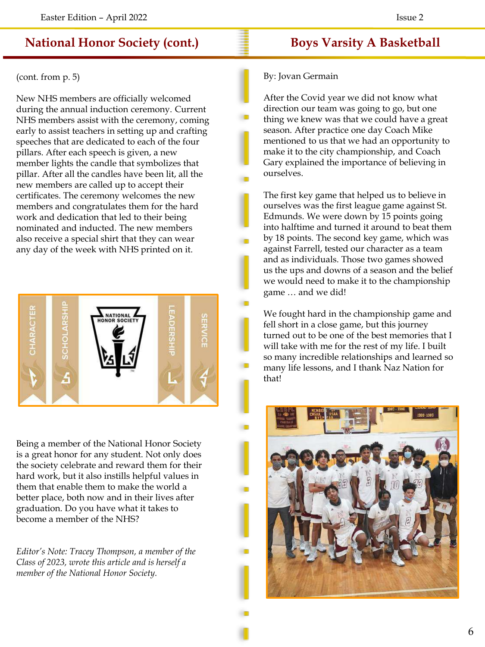## **National Honor Society (cont.)**

### (cont. from p. 5)

New NHS members are officially welcomed during the annual induction ceremony. Current NHS members assist with the ceremony, coming early to assist teachers in setting up and crafting speeches that are dedicated to each of the four pillars. After each speech is given, a new member lights the candle that symbolizes that pillar. After all the candles have been lit, all the new members are called up to accept their certificates. The ceremony welcomes the new members and congratulates them for the hard work and dedication that led to their being nominated and inducted. The new members also receive a special shirt that they can wear any day of the week with NHS printed on it.



Being a member of the National Honor Society is a great honor for any student. Not only does the society celebrate and reward them for their hard work, but it also instills helpful values in them that enable them to make the world a better place, both now and in their lives after graduation. Do you have what it takes to become a member of the NHS?

*Editor's Note: Tracey Thompson, a member of the Class of 2023, wrote this article and is herself a member of the National Honor Society.*

## **Boys Varsity A Basketball**

### By: Jovan Germain

After the Covid year we did not know what direction our team was going to go, but one thing we knew was that we could have a great season. After practice one day Coach Mike mentioned to us that we had an opportunity to make it to the city championship, and Coach Gary explained the importance of believing in ourselves.

The first key game that helped us to believe in ourselves was the first league game against St. Edmunds. We were down by 15 points going into halftime and turned it around to beat them by 18 points. The second key game, which was against Farrell, tested our character as a team and as individuals. Those two games showed us the ups and downs of a season and the belief we would need to make it to the championship game … and we did!

We fought hard in the championship game and fell short in a close game, but this journey turned out to be one of the best memories that I will take with me for the rest of my life. I built so many incredible relationships and learned so many life lessons, and I thank Naz Nation for that!

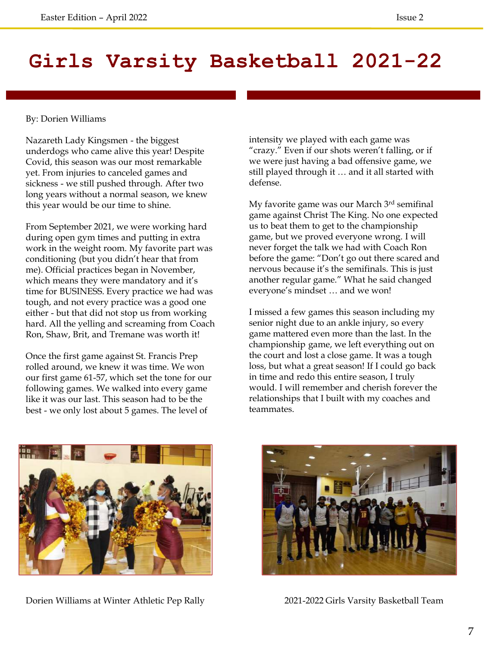# **Girls Varsity Basketball 2021-22**

#### By: Dorien Williams

Nazareth Lady Kingsmen - the biggest underdogs who came alive this year! Despite Covid, this season was our most remarkable yet. From injuries to canceled games and sickness - we still pushed through. After two long years without a normal season, we knew this year would be our time to shine.

From September 2021, we were working hard during open gym times and putting in extra work in the weight room. My favorite part was conditioning (but you didn't hear that from me). Official practices began in November, which means they were mandatory and it's time for BUSINESS. Every practice we had was tough, and not every practice was a good one either - but that did not stop us from working hard. All the yelling and screaming from Coach Ron, Shaw, Brit, and Tremane was worth it!

Once the first game against St. Francis Prep rolled around, we knew it was time. We won our first game 61-57, which set the tone for our following games. We walked into every game like it was our last. This season had to be the best - we only lost about 5 games. The level of

intensity we played with each game was "crazy." Even if our shots weren't falling, or if we were just having a bad offensive game, we still played through it … and it all started with defense.

My favorite game was our March 3rd semifinal game against Christ The King. No one expected us to beat them to get to the championship game, but we proved everyone wrong. I will never forget the talk we had with Coach Ron before the game: "Don't go out there scared and nervous because it's the semifinals. This is just another regular game." What he said changed everyone's mindset … and we won!

I missed a few games this season including my senior night due to an ankle injury, so every game mattered even more than the last. In the championship game, we left everything out on the court and lost a close game. It was a tough loss, but what a great season! If I could go back in time and redo this entire season, I truly would. I will remember and cherish forever the relationships that I built with my coaches and teammates.



Dorien Williams at Winter Athletic Pep Rally 2021-2022 Girls Varsity Basketball Team